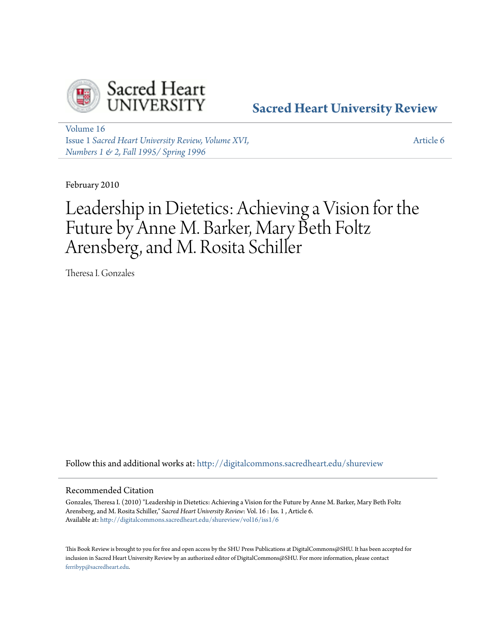

# **[Sacred Heart University Review](http://digitalcommons.sacredheart.edu/shureview?utm_source=digitalcommons.sacredheart.edu%2Fshureview%2Fvol16%2Fiss1%2F6&utm_medium=PDF&utm_campaign=PDFCoverPages)**

[Volume 16](http://digitalcommons.sacredheart.edu/shureview/vol16?utm_source=digitalcommons.sacredheart.edu%2Fshureview%2Fvol16%2Fiss1%2F6&utm_medium=PDF&utm_campaign=PDFCoverPages) Issue 1 *[Sacred Heart University Review, Volume XVI,](http://digitalcommons.sacredheart.edu/shureview/vol16/iss1?utm_source=digitalcommons.sacredheart.edu%2Fshureview%2Fvol16%2Fiss1%2F6&utm_medium=PDF&utm_campaign=PDFCoverPages) [Numbers 1 & 2, Fall 1995/ Spring 1996](http://digitalcommons.sacredheart.edu/shureview/vol16/iss1?utm_source=digitalcommons.sacredheart.edu%2Fshureview%2Fvol16%2Fiss1%2F6&utm_medium=PDF&utm_campaign=PDFCoverPages)*

[Article 6](http://digitalcommons.sacredheart.edu/shureview/vol16/iss1/6?utm_source=digitalcommons.sacredheart.edu%2Fshureview%2Fvol16%2Fiss1%2F6&utm_medium=PDF&utm_campaign=PDFCoverPages)

February 2010

# Leadership in Dietetics: Achieving a Vision for the Future by Anne M. Barker, Mary Beth Foltz Arensberg, and M. Rosita Schiller

Theresa I. Gonzales

Follow this and additional works at: [http://digitalcommons.sacredheart.edu/shureview](http://digitalcommons.sacredheart.edu/shureview?utm_source=digitalcommons.sacredheart.edu%2Fshureview%2Fvol16%2Fiss1%2F6&utm_medium=PDF&utm_campaign=PDFCoverPages)

### Recommended Citation

Gonzales, Theresa I. (2010) "Leadership in Dietetics: Achieving a Vision for the Future by Anne M. Barker, Mary Beth Foltz Arensberg, and M. Rosita Schiller," *Sacred Heart University Review*: Vol. 16 : Iss. 1 , Article 6. Available at: [http://digitalcommons.sacredheart.edu/shureview/vol16/iss1/6](http://digitalcommons.sacredheart.edu/shureview/vol16/iss1/6?utm_source=digitalcommons.sacredheart.edu%2Fshureview%2Fvol16%2Fiss1%2F6&utm_medium=PDF&utm_campaign=PDFCoverPages)

This Book Review is brought to you for free and open access by the SHU Press Publications at DigitalCommons@SHU. It has been accepted for inclusion in Sacred Heart University Review by an authorized editor of DigitalCommons@SHU. For more information, please contact [ferribyp@sacredheart.edu](mailto:ferribyp@sacredheart.edu).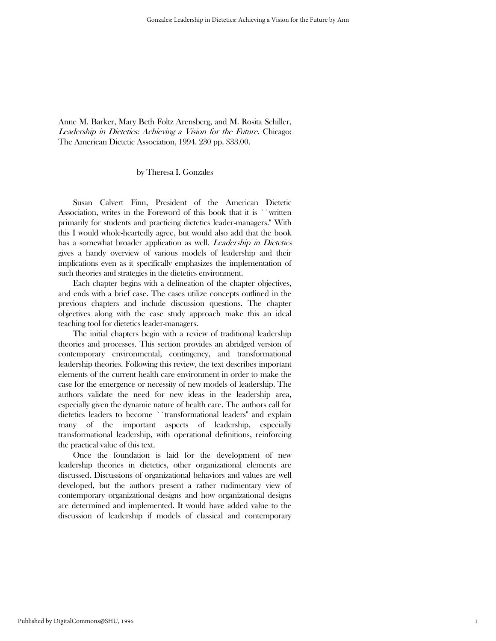## Anne M. Barker, Mary Beth Foltz Arensberg, and M. Rosita Schiller, Leadership in Dietetics: Achieving a Vision for the Future. Chicago: The American Dietetic Association, 1994. 230 pp. \$33.00.

#### by Theresa I. Gonzales

 Susan Calvert Finn, President of the American Dietetic Association, writes in the Foreword of this book that it is ``written primarily for students and practicing dietetics leader-managers.'' With this I would whole-heartedly agree, but would also add that the book has a somewhat broader application as well. *Leadership in Dietetics* gives a handy overview of various models of leadership and their implications even as it specifically emphasizes the implementation of such theories and strategies in the dietetics environment.

 Each chapter begins with a delineation of the chapter objectives, and ends with a brief case. The cases utilize concepts outlined in the previous chapters and include discussion questions. The chapter objectives along with the case study approach make this an ideal teaching tool for dietetics leader-managers.

 The initial chapters begin with a review of traditional leadership theories and processes. This section provides an abridged version of contemporary environmental, contingency, and transformational leadership theories. Following this review, the text describes important elements of the current health care environment in order to make the case for the emergence or necessity of new models of leadership. The authors validate the need for new ideas in the leadership area, especially given the dynamic nature of health care. The authors call for dietetics leaders to become ``transformational leaders'' and explain many of the important aspects of leadership, especially transformational leadership, with operational definitions, reinforcing the practical value of this text.

 Once the foundation is laid for the development of new leadership theories in dietetics, other organizational elements are discussed. Discussions of organizational behaviors and values are well developed, but the authors present a rather rudimentary view of contemporary organizational designs and how organizational designs are determined and implemented. It would have added value to the discussion of leadership if models of classical and contemporary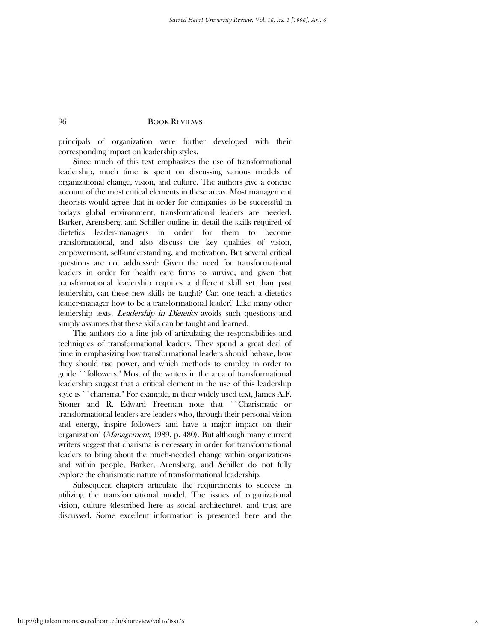#### 96 BOOK REVIEWS

principals of organization were further developed with their corresponding impact on leadership styles.

 Since much of this text emphasizes the use of transformational leadership, much time is spent on discussing various models of organizational change, vision, and culture. The authors give a concise account of the most critical elements in these areas. Most management theorists would agree that in order for companies to be successful in today's global environment, transformational leaders are needed. Barker, Arensberg, and Schiller outline in detail the skills required of dietetics leader-managers in order for them to become transformational, and also discuss the key qualities of vision, empowerment, self-understanding, and motivation. But several critical questions are not addressed: Given the need for transformational leaders in order for health care firms to survive, and given that transformational leadership requires a different skill set than past leadership, can these new skills be taught? Can one teach a dietetics leader-manager how to be a transformational leader? Like many other leadership texts, *Leadership in Dietetics* avoids such questions and simply assumes that these skills can be taught and learned.

 The authors do a fine job of articulating the responsibilities and techniques of transformational leaders. They spend a great deal of time in emphasizing how transformational leaders should behave, how they should use power, and which methods to employ in order to guide ``followers.'' Most of the writers in the area of transformational leadership suggest that a critical element in the use of this leadership style is ``charisma.'' For example, in their widely used text, James A.F. Stoner and R. Edward Freeman note that ``Charismatic or transformational leaders are leaders who, through their personal vision and energy, inspire followers and have a major impact on their organization'' (Management, 1989, p. 480). But although many current writers suggest that charisma is necessary in order for transformational leaders to bring about the much-needed change within organizations and within people, Barker, Arensberg, and Schiller do not fully explore the charismatic nature of transformational leadership.

 Subsequent chapters articulate the requirements to success in utilizing the transformational model. The issues of organizational vision, culture (described here as social architecture), and trust are discussed. Some excellent information is presented here and the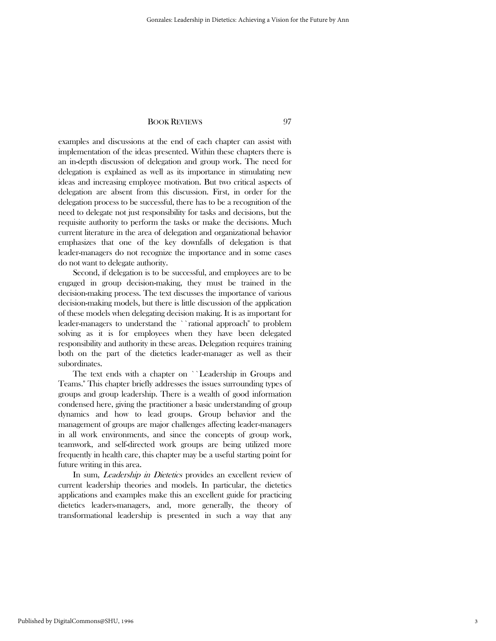#### BOOK REVIEWS 97

examples and discussions at the end of each chapter can assist with implementation of the ideas presented. Within these chapters there is an in-depth discussion of delegation and group work. The need for delegation is explained as well as its importance in stimulating new ideas and increasing employee motivation. But two critical aspects of delegation are absent from this discussion. First, in order for the delegation process to be successful, there has to be a recognition of the need to delegate not just responsibility for tasks and decisions, but the requisite authority to perform the tasks or make the decisions. Much current literature in the area of delegation and organizational behavior emphasizes that one of the key downfalls of delegation is that leader-managers do not recognize the importance and in some cases do not want to delegate authority.

 Second, if delegation is to be successful, and employees are to be engaged in group decision-making, they must be trained in the decision-making process. The text discusses the importance of various decision-making models, but there is little discussion of the application of these models when delegating decision making. It is as important for leader-managers to understand the ``rational approach'' to problem solving as it is for employees when they have been delegated responsibility and authority in these areas. Delegation requires training both on the part of the dietetics leader-manager as well as their subordinates.

 The text ends with a chapter on ``Leadership in Groups and Teams.'' This chapter briefly addresses the issues surrounding types of groups and group leadership. There is a wealth of good information condensed here, giving the practitioner a basic understanding of group dynamics and how to lead groups. Group behavior and the management of groups are major challenges affecting leader-managers in all work environments, and since the concepts of group work, teamwork, and self-directed work groups are being utilized more frequently in health care, this chapter may be a useful starting point for future writing in this area.

In sum, *Leadership in Dietetics* provides an excellent review of current leadership theories and models. In particular, the dietetics applications and examples make this an excellent guide for practicing dietetics leaders-managers, and, more generally, the theory of transformational leadership is presented in such a way that any